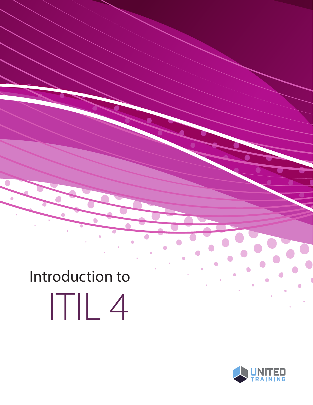# Introduction to ITIL 4

 $\bullet$ 

Ċ

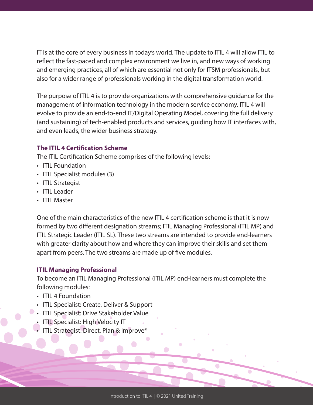IT is at the core of every business in today's world. The update to ITIL 4 will allow ITIL to reflect the fast-paced and complex environment we live in, and new ways of working and emerging practices, all of which are essential not only for ITSM professionals, but also for a wider range of professionals working in the digital transformation world.

The purpose of ITIL 4 is to provide organizations with comprehensive guidance for the management of information technology in the modern service economy. ITIL 4 will evolve to provide an end-to-end IT/Digital Operating Model, covering the full delivery (and sustaining) of tech-enabled products and services, guiding how IT interfaces with, and even leads, the wider business strategy.

#### **The ITIL 4 Certification Scheme**

The ITIL Certification Scheme comprises of the following levels:

- ITIL Foundation
- ITIL Specialist modules (3)
- ITIL Strategist
- ITIL Leader
- ITIL Master

One of the main characteristics of the new ITIL 4 certification scheme is that it is now formed by two different designation streams; ITIL Managing Professional (ITIL MP) and ITIL Strategic Leader (ITIL SL). These two streams are intended to provide end-learners with greater clarity about how and where they can improve their skills and set them apart from peers. The two streams are made up of five modules.

#### **ITIL Managing Professional**

To become an ITIL Managing Professional (ITIL MP) end-learners must complete the following modules:

- ITIL 4 Foundation
- ITIL Specialist: Create, Deliver & Support
- **ITIL Specialist: Drive Stakeholder Value** 
	- ITIL Specialist: High Velocity IT
	- ITIL Strategist: Direct, Plan & Improve\*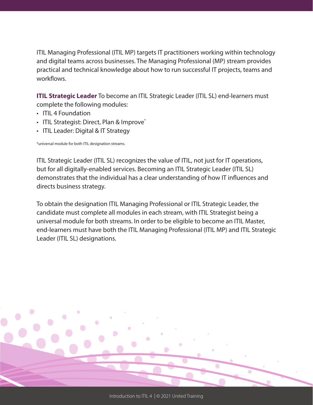ITIL Managing Professional (ITIL MP) targets IT practitioners working within technology and digital teams across businesses. The Managing Professional (MP) stream provides practical and technical knowledge about how to run successful IT projects, teams and workflows.

**ITIL Strategic Leader** To become an ITIL Strategic Leader (ITIL SL) end-learners must complete the following modules:

- ITIL 4 Foundation
- ITIL Strategist: Direct, Plan & Improve<sup>\*</sup>
- ITIL Leader: Digital & IT Strategy

\*universal module for both ITIL designation streams.

ITIL Strategic Leader (ITIL SL) recognizes the value of ITIL, not just for IT operations, but for all digitally-enabled services. Becoming an ITIL Strategic Leader (ITIL SL) demonstrates that the individual has a clear understanding of how IT influences and directs business strategy.

To obtain the designation ITIL Managing Professional or ITIL Strategic Leader, the candidate must complete all modules in each stream, with ITIL Strategist being a universal module for both streams. In order to be eligible to become an ITIL Master, end-learners must have both the ITIL Managing Professional (ITIL MP) and ITIL Strategic Leader (ITIL SL) designations.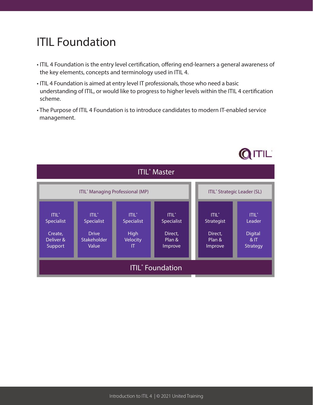# **ITIL Foundation**

- ITIL 4 Foundation is the entry level certification, offering end-learners a general awareness of the key elements, concepts and terminology used in ITIL 4.
- ITIL 4 Foundation is aimed at entry level IT professionals, those who need a basic understanding of ITIL, or would like to progress to higher levels within the ITIL 4 certification scheme.
- The Purpose of ITIL 4 Foundation is to introduce candidates to modern IT-enabled service management.

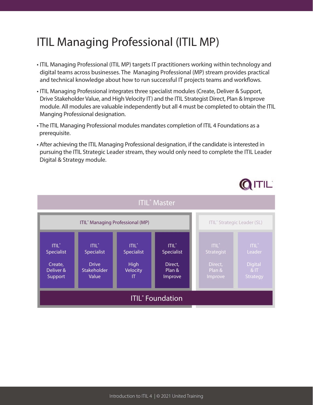# ITIL Managing Professional (ITIL MP)

- ITIL Managing Professional (ITIL MP) targets IT practitioners working within technology and digital teams across businesses. The Managing Professional (MP) stream provides practical and technical knowledge about how to run successful IT projects teams and workflows.
- ITIL Managing Professional integrates three specialist modules (Create, Deliver & Support, Drive Stakeholder Value, and High Velocity IT) and the ITIL Strategist Direct, Plan & Improve module. All modules are valuable independently but all 4 must be completed to obtain the ITIL Manging Professional designation.
- The ITIL Managing Professional modules mandates completion of ITIL 4 Foundations as a prerequisite.
- After achieving the ITIL Managing Professional designation, if the candidate is interested in pursuing the ITIL Strategic Leader stream, they would only need to complete the ITIL Leader Digital & Strategy module.

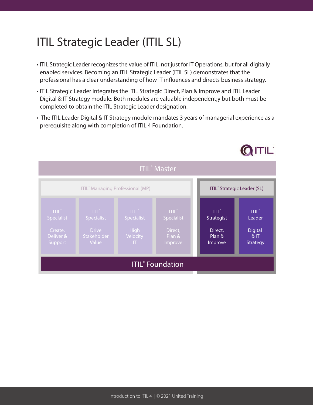# ITIL Strategic Leader (ITIL SL)

- ITIL Strategic Leader recognizes the value of ITIL, not just for IT Operations, but for all digitally enabled services. Becoming an ITIL Strategic Leader (ITIL SL) demonstrates that the professional has a clear understanding of how IT influences and directs business strategy.
- ITIL Strategic Leader integrates the ITIL Strategic Direct, Plan & Improve and ITIL Leader Digital & IT Strategy module. Both modules are valuable independent;y but both must be completed to obtain the ITIL Strategic Leader designation.
- The ITIL Leader Digital & IT Strategy module mandates 3 years of managerial experience as a prerequisite along with completion of ITIL 4 Foundation.

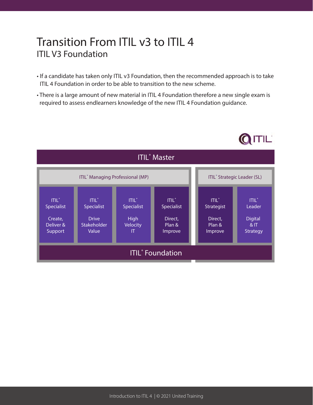## Transition From ITIL v3 to ITIL 4 ITIL V3 Foundation

- If a candidate has taken only ITIL v3 Foundation, then the recommended approach is to take ITIL 4 Foundation in order to be able to transition to the new scheme.
- There is a large amount of new material in ITIL 4 Foundation therefore a new single exam is required to assess endlearners knowledge of the new ITIL 4 Foundation guidance.

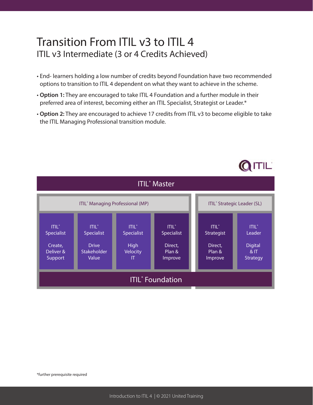#### Transition From ITIL v3 to ITIL 4 ITIL v3 Intermediate (3 or 4 Credits Achieved)

- End- learners holding a low number of credits beyond Foundation have two recommended options to transition to ITIL 4 dependent on what they want to achieve in the scheme.
- **Option 1:** They are encouraged to take ITIL 4 Foundation and a further module in their preferred area of interest, becoming either an ITIL Specialist, Strategist or Leader.\*
- **Option 2:** They are encouraged to achieve 17 credits from ITIL v3 to become eligible to take the ITIL Managing Professional transition module.

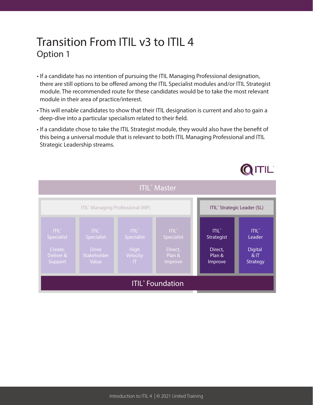## Transition From ITIL v3 to ITIL 4 Option 1

- If a candidate has no intention of pursuing the ITIL Managing Professional designation, there are still options to be offered among the ITIL Specialist modules and/or ITIL Strategist module. The recommended route for these candidates would be to take the most relevant module in their area of practice/interest.
- This will enable candidates to show that their ITIL designation is current and also to gain a deep-dive into a particular specialism related to their field.
- If a candidate chose to take the ITIL Strategist module, they would also have the benefit of this being a universal module that is relevant to both ITIL Managing Professional and ITIL Strategic Leadership streams.

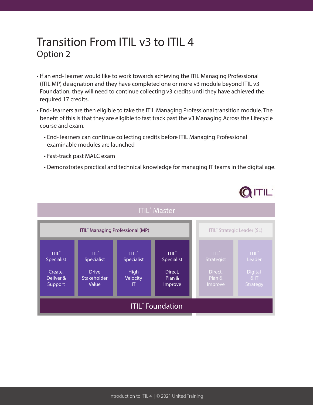## Transition From ITIL v3 to ITIL 4 Option 2

- If an end- learner would like to work towards achieving the ITIL Managing Professional (ITIL MP) designation and they have completed one or more v3 module beyond ITIL v3 Foundation, they will need to continue collecting v3 credits until they have achieved the required 17 credits.
- End- learners are then eligible to take the ITIL Managing Professional transition module. The benefit of this is that they are eligible to fast track past the v3 Managing Across the Lifecycle course and exam.
	- End- learners can continue collecting credits before ITIL Managing Professional examinable modules are launched
	- Fast-track past MALC exam
	- Demonstrates practical and technical knowledge for managing IT teams in the digital age.

QITIL

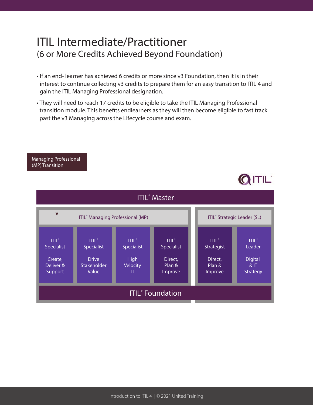#### ITIL Intermediate/Practitioner (6 or More Credits Achieved Beyond Foundation)

- If an end- learner has achieved 6 credits or more since v3 Foundation, then it is in their interest to continue collecting v3 credits to prepare them for an easy transition to ITIL 4 and gain the ITIL Managing Professional designation.
- They will need to reach 17 credits to be eligible to take the ITIL Managing Professional transition module. This benefits endlearners as they will then become eligible to fast track past the v3 Managing across the Lifecycle course and exam.

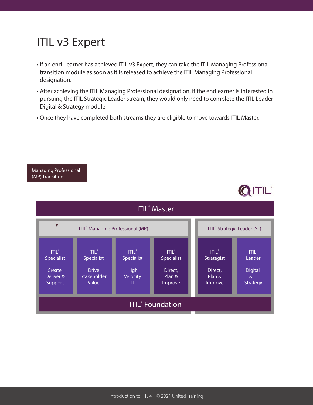# ITIL v3 Expert

- If an end- learner has achieved ITIL v3 Expert, they can take the ITIL Managing Professional transition module as soon as it is released to achieve the ITIL Managing Professional designation.
- After achieving the ITIL Managing Professional designation, if the endlearner is interested in pursuing the ITIL Strategic Leader stream, they would only need to complete the ITIL Leader Digital & Strategy module.
- Once they have completed both streams they are eligible to move towards ITIL Master.

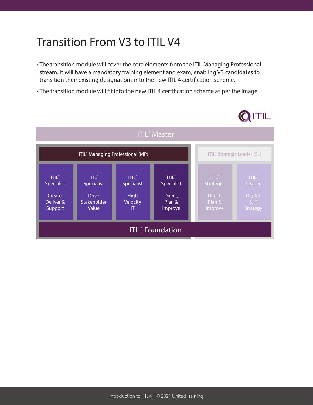# Transition From V3 to ITIL V4

- The transition module will cover the core elements from the ITIL Managing Professional stream. It will have a mandatory training element and exam, enabling V3 candidates to transition their existing designations into the new ITIL 4 certification scheme.
- The transition module will fit into the new ITIL 4 certification scheme as per the image.

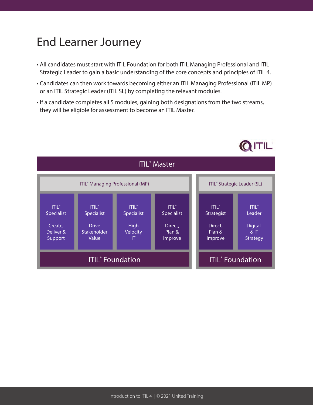## End Learner Journey

- All candidates must start with ITIL Foundation for both ITIL Managing Professional and ITIL Strategic Leader to gain a basic understanding of the core concepts and principles of ITIL 4.
- Candidates can then work towards becoming either an ITIL Managing Professional (ITIL MP) or an ITIL Strategic Leader (ITIL SL) by completing the relevant modules.
- If a candidate completes all 5 modules, gaining both designations from the two streams, they will be eligible for assessment to become an ITIL Master.

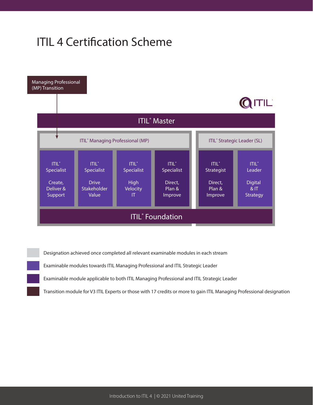# ITIL 4 Certification Scheme



Designation achieved once completed all relevant examinable modules in each stream

Examinable modules towards ITIL Managing Professional and ITIL Strategic Leader

Examinable module applicable to both ITIL Managing Professional and ITIL Strategic Leader

Transition module for V3 ITIL Experts or those with 17 credits or more to gain ITIL Managing Professional designation